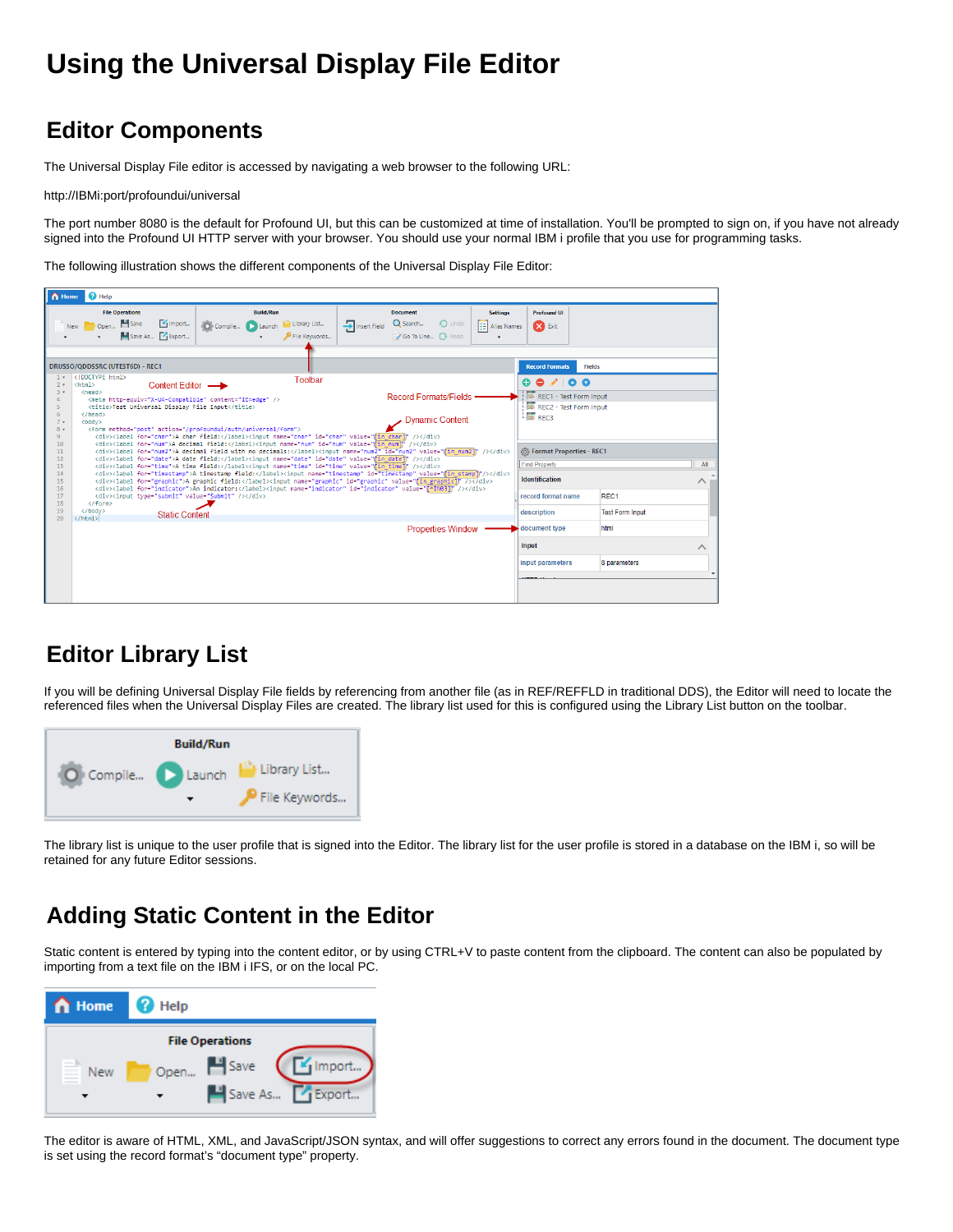# **Using the Universal Display File Editor**

# **Editor Components**

The Universal Display File editor is accessed by navigating a web browser to the following URL:

[http://IBMi:port/profoundui/universal](http://IBMi:8080/profoundui/universal)

The port number 8080 is the default for Profound UI, but this can be customized at time of installation. You'll be prompted to sign on, if you have not already signed into the Profound UI HTTP server with your browser. You should use your normal IBM i profile that you use for programming tasks.

The following illustration shows the different components of the Universal Display File Editor:

| n Home                                                                                                                                       | <b>O</b> Help                                                                                                                                                                                                                                                                                                                                                                                          |                                                                                                                                                                                                                                                                                                                                                                                                                                     |                                                                                                                                                                                                                                                                                                                                                                                                                                                                                                                                                            |                                  |                                                                                                                                                                                                              |                                |          |
|----------------------------------------------------------------------------------------------------------------------------------------------|--------------------------------------------------------------------------------------------------------------------------------------------------------------------------------------------------------------------------------------------------------------------------------------------------------------------------------------------------------------------------------------------------------|-------------------------------------------------------------------------------------------------------------------------------------------------------------------------------------------------------------------------------------------------------------------------------------------------------------------------------------------------------------------------------------------------------------------------------------|------------------------------------------------------------------------------------------------------------------------------------------------------------------------------------------------------------------------------------------------------------------------------------------------------------------------------------------------------------------------------------------------------------------------------------------------------------------------------------------------------------------------------------------------------------|----------------------------------|--------------------------------------------------------------------------------------------------------------------------------------------------------------------------------------------------------------|--------------------------------|----------|
|                                                                                                                                              | <b>File Operations</b><br>Open Business<br>Import<br>New<br>Save As F Export                                                                                                                                                                                                                                                                                                                           | <b>Build/Run</b><br>O Compile Launch<br>I Library List<br>P File Keywords                                                                                                                                                                                                                                                                                                                                                           | <b>Document</b><br>Q Search<br>$\bigcirc$ Undo<br>Insert Field<br>Go To Line C Redo                                                                                                                                                                                                                                                                                                                                                                                                                                                                        | <b>Settings</b><br>三 Alias Names | <b>Profound UI</b><br><b>X</b> Exit                                                                                                                                                                          |                                |          |
|                                                                                                                                              | DRUSSO/QDDSSRC (UTEST6D) - REC1                                                                                                                                                                                                                                                                                                                                                                        |                                                                                                                                                                                                                                                                                                                                                                                                                                     |                                                                                                                                                                                                                                                                                                                                                                                                                                                                                                                                                            |                                  | <b>Record Formats</b>                                                                                                                                                                                        | <b>Fields</b>                  |          |
| $1 +$<br>$2 -$<br>$3 +$<br>4<br>5<br>6<br>$7 -$<br>$8 -$<br>9<br>10<br>11<br>12 <sup>°</sup><br>13<br>14<br>15<br>16<br>17<br>18<br>19<br>20 | html<br>Content Editor -<br><html><br/><head><br/><meta content="IE=edge" http-equiv="X-UA-Compatible"/><br/><title>Test Universal Display File Input</title><br/></head><br/><body><br/><form action="/profoundui/auth/universal/form" method="post"><br/><div><input type="submit" value="Submit"/></div><br/></form><br/></body><br/><b>Static Content</b><br/><math>\langle</math>/html&gt;</html> | Toolbar<br><div><label for="char">A char field:</label><input id="char" name="char" value="fin charl"/></div><br><div><label for="num">A decimal field:</label><input id="num" name="num" value="fin num"  '=""/></div><br><div><label for="date">A date field:</label><input id="date" name="date" value="fin date1"/></div><br><div><label for="time">A time field:</label><input id="time" name="time" value="fin time1"/></div> | <b>Record Formats/Fields</b><br><b>Dynamic Content</b><br><div><label for="num2">A decimal field with no decimals:</label><input id="num2" name="num2" value="fin_num21"/></div><br><div><label for="timestamo">A timestamo field:</label><input id="timestamo" name="timestamo" value="fin_stamo]"/></div><br><div><label for="graphic">A graphic field:</label><input id="graphic" name="graphic" value="[in graphic]"/></div><br><div><label for="indicator">An indicator:</label><inout id="indicator" name="indicator" value="f*IN031"></inout></div> |                                  | 0 0 1 0 0<br>REC1 - Test Form Input<br>REC2 - Test Form Input<br><b>EXP</b> REC3<br><b> S</b> Format Properties - REC1<br><b>Find Property</b><br><b>Identification</b><br>record format name<br>description | REC1<br><b>Test Form Input</b> | All<br>∧ |
|                                                                                                                                              |                                                                                                                                                                                                                                                                                                                                                                                                        |                                                                                                                                                                                                                                                                                                                                                                                                                                     | <b>Properties Window</b>                                                                                                                                                                                                                                                                                                                                                                                                                                                                                                                                   |                                  | document type<br>Input<br>input parameters                                                                                                                                                                   | html<br>8 parameters           | ᄉ        |

# **Editor Library List**

If you will be defining Universal Display File fields by referencing from another file (as in REF/REFFLD in traditional DDS), the Editor will need to locate the referenced files when the Universal Display Files are created. The library list used for this is configured using the Library List button on the toolbar.



The library list is unique to the user profile that is signed into the Editor. The library list for the user profile is stored in a database on the IBM i, so will be retained for any future Editor sessions.

# **Adding Static Content in the Editor**

Static content is entered by typing into the content editor, or by using CTRL+V to paste content from the clipboard. The content can also be populated by importing from a text file on the IBM i IFS, or on the local PC.



The editor is aware of HTML, XML, and JavaScript/JSON syntax, and will offer suggestions to correct any errors found in the document. The document type is set using the record format's "document type" property.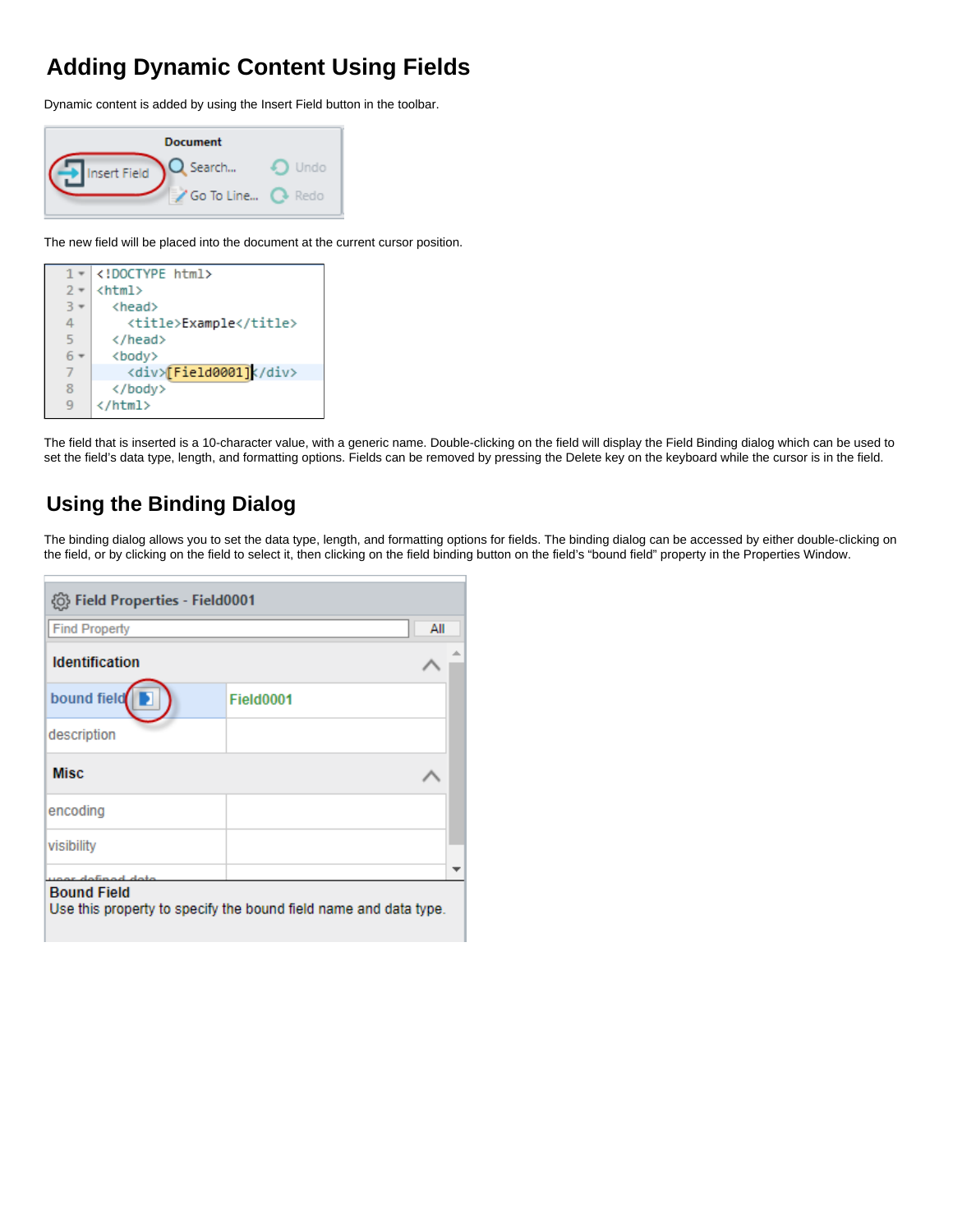# **Adding Dynamic Content Using Fields**

Dynamic content is added by using the Insert Field button in the toolbar.

| <b>Document</b> |             |      |  |  |  |  |
|-----------------|-------------|------|--|--|--|--|
| Insert Field    | Search      | Undo |  |  |  |  |
|                 | 'Go To Line |      |  |  |  |  |

The new field will be placed into the document at the current cursor position.

| 1             | html                   |
|---------------|------------------------|
| $\mathcal{P}$ | <html></html>          |
| R             | <head></head>          |
| 4             | <title>Example</title> |
| 5             |                        |
|               | <body></body>          |
| 7             | <div>[Field0001]</div> |
| 8             |                        |
| q             |                        |
|               |                        |

The field that is inserted is a 10-character value, with a generic name. Double-clicking on the field will display the Field Binding dialog which can be used to set the field's data type, length, and formatting options. Fields can be removed by pressing the Delete key on the keyboard while the cursor is in the field.

### **Using the Binding Dialog**

г

The binding dialog allows you to set the data type, length, and formatting options for fields. The binding dialog can be accessed by either double-clicking on the field, or by clicking on the field to select it, then clicking on the field binding button on the field's "bound field" property in the Properties Window.

| © Field Properties - Field0001                                                                         |           |     |
|--------------------------------------------------------------------------------------------------------|-----------|-----|
| <b>Find Property</b>                                                                                   |           | All |
| <b>Identification</b>                                                                                  |           |     |
| bound field                                                                                            | Field0001 |     |
| description                                                                                            |           |     |
| <b>Misc</b>                                                                                            |           |     |
| encoding                                                                                               |           |     |
| visibility                                                                                             |           |     |
| defined deta<br><b>Bound Field</b><br>Use this property to specify the bound field name and data type. |           |     |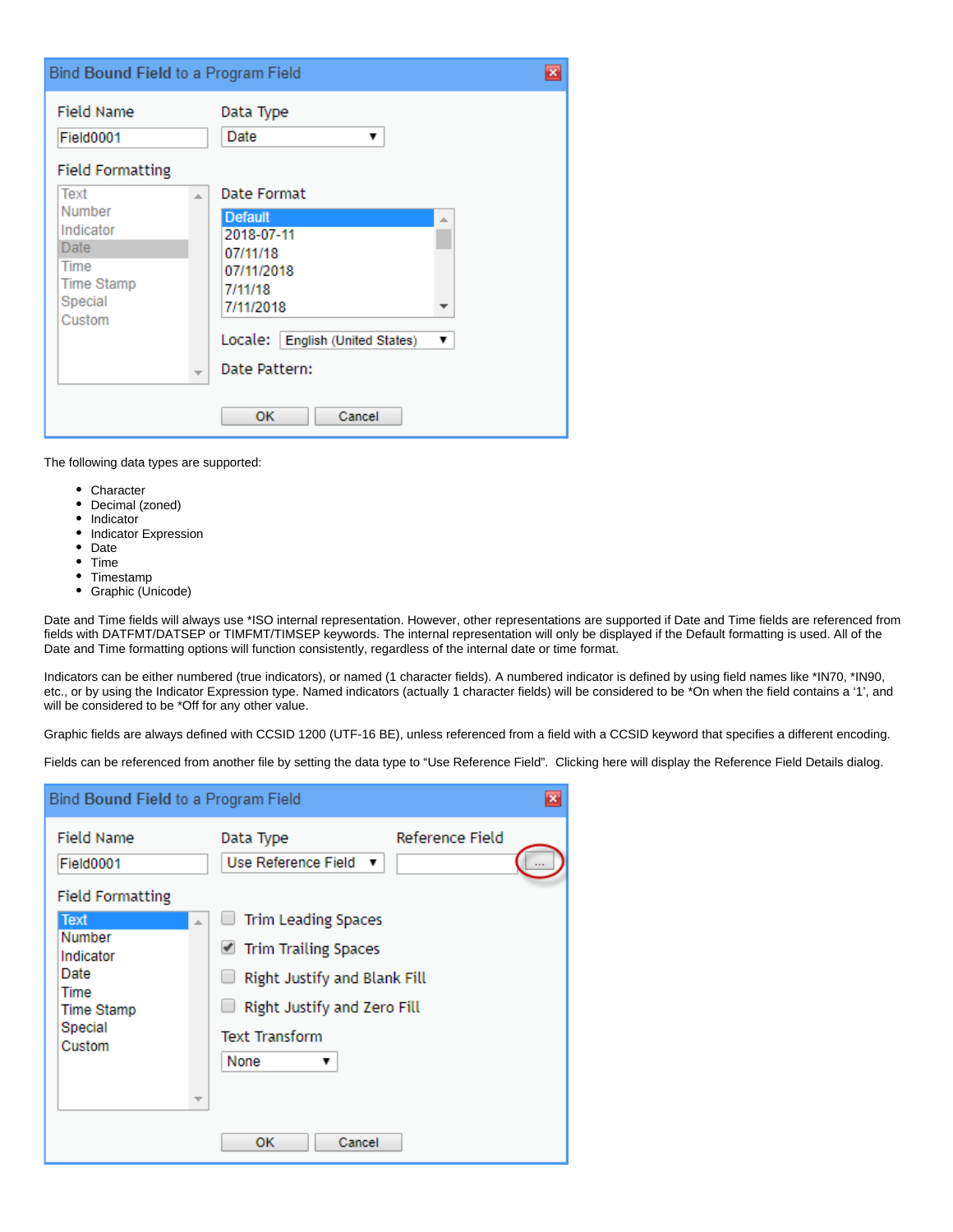| Bind Bound Field to a Program Field                                                          |                                |                                                                                                                                                        |         | $\overline{\mathbf{x}}$ |
|----------------------------------------------------------------------------------------------|--------------------------------|--------------------------------------------------------------------------------------------------------------------------------------------------------|---------|-------------------------|
| <b>Field Name</b><br>Field0001<br><b>Field Formatting</b>                                    |                                | Data Type<br>Date<br>▼                                                                                                                                 |         |                         |
| Text<br>Number<br>Indicator<br><b>Date</b><br>Time<br><b>Time Stamp</b><br>Special<br>Custom | A.<br>$\overline{\phantom{a}}$ | Date Format<br><b>Default</b><br>2018-07-11<br>07/11/18<br>07/11/2018<br>7/11/18<br>7/11/2018<br>English (United States)<br>Locale:  <br>Date Pattern: | A.<br>▼ |                         |
|                                                                                              |                                | Cancel<br>οк                                                                                                                                           |         |                         |

The following data types are supported:

- Character
- Decimal (zoned)
- $\bullet$ Indicator
- Indicator Expression
- Date
- Time • Timestamp
- Graphic (Unicode)

Date and Time fields will always use \*ISO internal representation. However, other representations are supported if Date and Time fields are referenced from fields with DATFMT/DATSEP or TIMFMT/TIMSEP keywords. The internal representation will only be displayed if the Default formatting is used. All of the Date and Time formatting options will function consistently, regardless of the internal date or time format.

Indicators can be either numbered (true indicators), or named (1 character fields). A numbered indicator is defined by using field names like \*IN70, \*IN90, etc., or by using the Indicator Expression type. Named indicators (actually 1 character fields) will be considered to be \*On when the field contains a '1', and will be considered to be \*Off for any other value.

Graphic fields are always defined with CCSID 1200 (UTF-16 BE), unless referenced from a field with a CCSID keyword that specifies a different encoding.

Fields can be referenced from another file by setting the data type to "Use Reference Field". Clicking here will display the Reference Field Details dialog.

| Bind Bound Field to a Program Field                                                   |                                                                                                                                                         |                 | $\mathbf x$ |
|---------------------------------------------------------------------------------------|---------------------------------------------------------------------------------------------------------------------------------------------------------|-----------------|-------------|
| <b>Field Name</b><br>Field0001<br><b>Field Formatting</b>                             | Data Type<br>Use Reference Field<br>▼                                                                                                                   | Reference Field |             |
| <b>Text</b><br>Number<br>Indicator<br>Date<br>Time<br>Time Stamp<br>Special<br>Custom | <b>Trim Leading Spaces</b><br>Trim Trailing Spaces<br>Right Justify and Blank Fill<br>Right Justify and Zero Fill<br><b>Text Transform</b><br>None<br>▼ |                 |             |
|                                                                                       | ок<br>Cancel                                                                                                                                            |                 |             |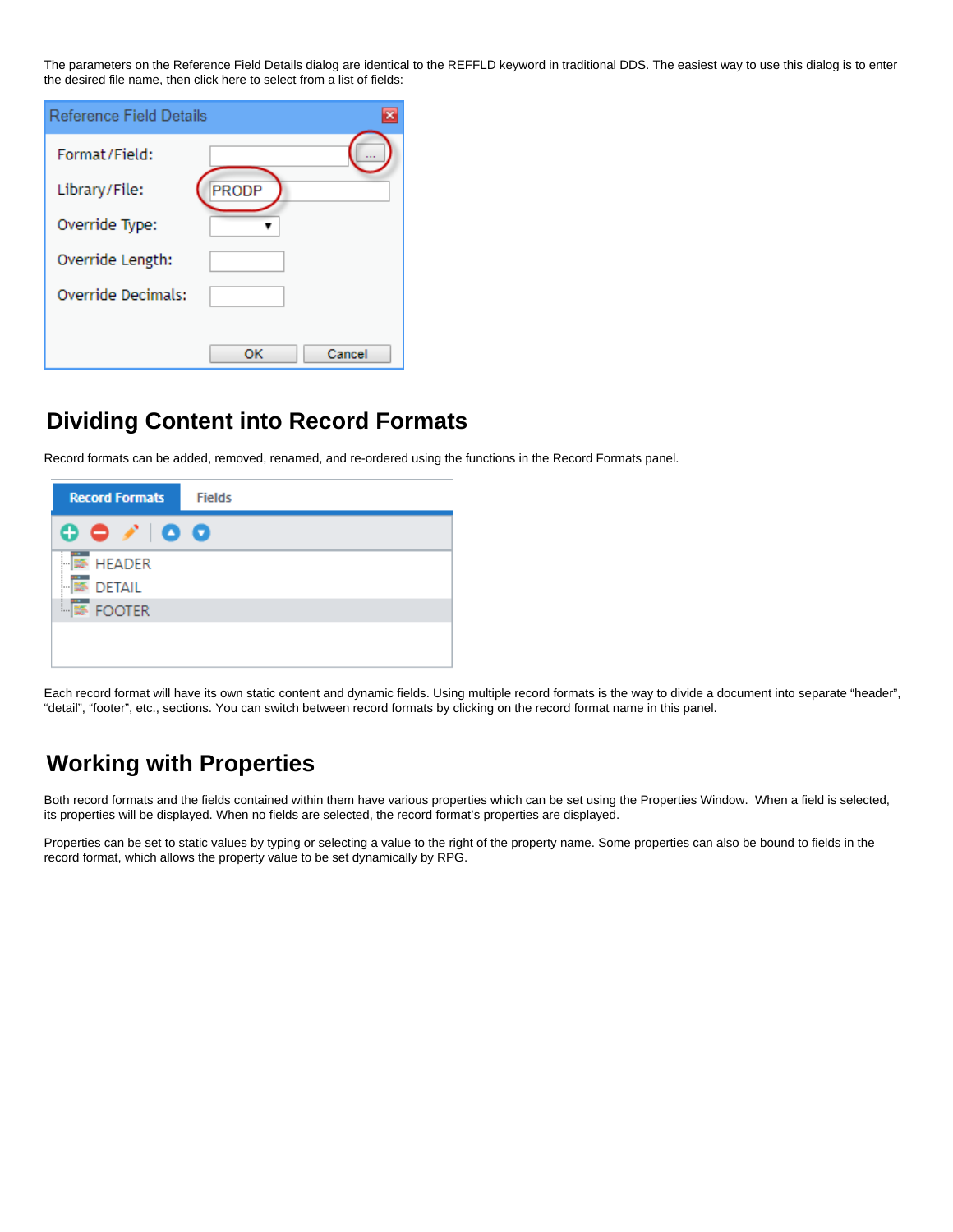The parameters on the Reference Field Details dialog are identical to the REFFLD keyword in traditional DDS. The easiest way to use this dialog is to enter the desired file name, then click here to select from a list of fields:

| <b>Reference Field Details</b> |       |        |
|--------------------------------|-------|--------|
| Format/Field:                  |       |        |
| Library/File:                  | PRODP |        |
| Override Type:                 |       |        |
| Override Length:               |       |        |
| Override Decimals:             |       |        |
|                                |       |        |
|                                | OК    | Cancel |

#### **Dividing Content into Record Formats**

Record formats can be added, removed, renamed, and re-ordered using the functions in the Record Formats panel.



Each record format will have its own static content and dynamic fields. Using multiple record formats is the way to divide a document into separate "header", "detail", "footer", etc., sections. You can switch between record formats by clicking on the record format name in this panel.

# **Working with Properties**

Both record formats and the fields contained within them have various properties which can be set using the Properties Window. When a field is selected, its properties will be displayed. When no fields are selected, the record format's properties are displayed.

Properties can be set to static values by typing or selecting a value to the right of the property name. Some properties can also be bound to fields in the record format, which allows the property value to be set dynamically by RPG.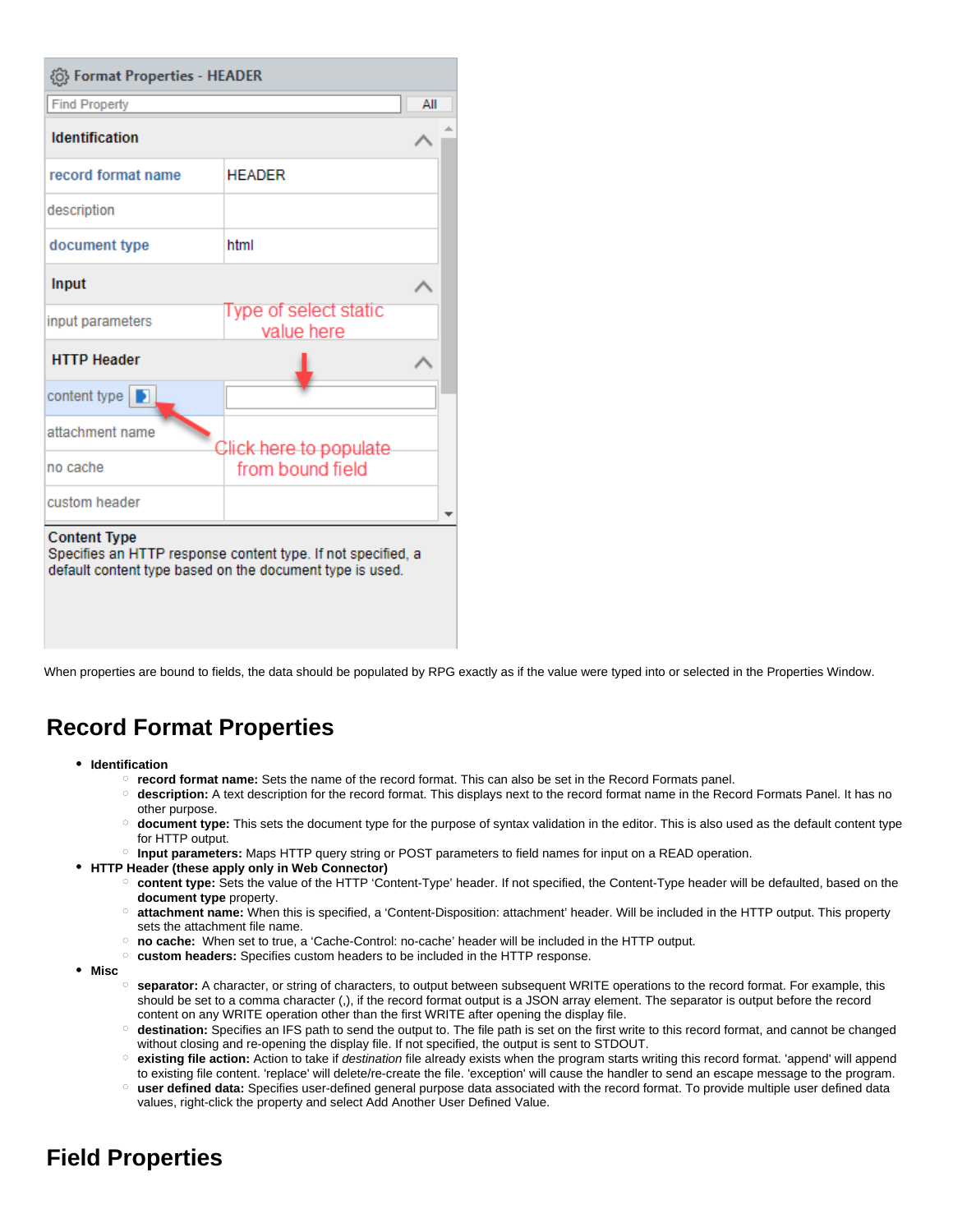| ©} Format Properties - HEADER                                                                                                                   |                                     |     |  |  |  |
|-------------------------------------------------------------------------------------------------------------------------------------------------|-------------------------------------|-----|--|--|--|
| <b>Find Property</b>                                                                                                                            |                                     | All |  |  |  |
| <b>Identification</b>                                                                                                                           |                                     |     |  |  |  |
| record format name                                                                                                                              | <b>HEADER</b>                       |     |  |  |  |
| description                                                                                                                                     |                                     |     |  |  |  |
| document type                                                                                                                                   | html                                |     |  |  |  |
| Input                                                                                                                                           |                                     |     |  |  |  |
| input parameters                                                                                                                                | Type of select static<br>value here |     |  |  |  |
| <b>HTTP Header</b>                                                                                                                              |                                     |     |  |  |  |
| content type $\Box$                                                                                                                             |                                     |     |  |  |  |
| attachment name                                                                                                                                 | Click here to populate              |     |  |  |  |
| no cache                                                                                                                                        | from bound field                    |     |  |  |  |
| custom header                                                                                                                                   |                                     |     |  |  |  |
| <b>Content Type</b><br>Specifies an HTTP response content type. If not specified, a<br>default content type based on the document type is used. |                                     |     |  |  |  |

When properties are bound to fields, the data should be populated by RPG exactly as if the value were typed into or selected in the Properties Window.

### **Record Format Properties**

- **Identification**
	- **record format name:** Sets the name of the record format. This can also be set in the Record Formats panel.
	- **description:** A text description for the record format. This displays next to the record format name in the Record Formats Panel. It has no other purpose.
	- **document type:** This sets the document type for the purpose of syntax validation in the editor. This is also used as the default content type for HTTP output.
	- **Input parameters:** Maps HTTP query string or POST parameters to field names for input on a READ operation.
- **HTTP Header (these apply only in Web Connector)**
	- **content type:** Sets the value of the HTTP 'Content-Type' header. If not specified, the Content-Type header will be defaulted, based on the **document type** property.
	- **attachment name:** When this is specified, a 'Content-Disposition: attachment' header. Will be included in the HTTP output. This property sets the attachment file name.
	- **no cache:** When set to true, a 'Cache-Control: no-cache' header will be included in the HTTP output.
	- **custom headers:** Specifies custom headers to be included in the HTTP response.
- **Misc**
	- **separator:** A character, or string of characters, to output between subsequent WRITE operations to the record format. For example, this should be set to a comma character (,), if the record format output is a JSON array element. The separator is output before the record content on any WRITE operation other than the first WRITE after opening the display file.
	- **destination:** Specifies an IFS path to send the output to. The file path is set on the first write to this record format, and cannot be changed without closing and re-opening the display file. If not specified, the output is sent to STDOUT.
	- **existing file action:** Action to take if destination file already exists when the program starts writing this record format. 'append' will append to existing file content. 'replace' will delete/re-create the file. 'exception' will cause the handler to send an escape message to the program.
	- **user defined data:** Specifies user-defined general purpose data associated with the record format. To provide multiple user defined data values, right-click the property and select Add Another User Defined Value.

# **Field Properties**